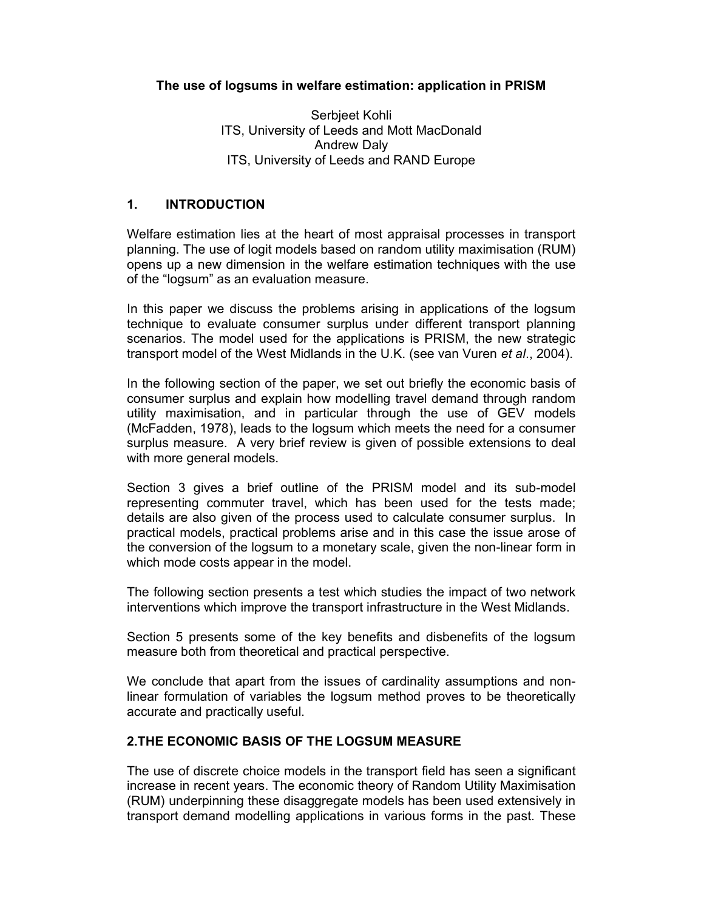## The use of logsums in welfare estimation: application in PRISM

Serbjeet Kohli ITS, University of Leeds and Mott MacDonald Andrew Daly ITS, University of Leeds and RAND Europe

## 1. INTRODUCTION

Welfare estimation lies at the heart of most appraisal processes in transport planning. The use of logit models based on random utility maximisation (RUM) opens up a new dimension in the welfare estimation techniques with the use of the "logsum" as an evaluation measure.

In this paper we discuss the problems arising in applications of the logsum technique to evaluate consumer surplus under different transport planning scenarios. The model used for the applications is PRISM, the new strategic transport model of the West Midlands in the U.K. (see van Vuren et al., 2004).

In the following section of the paper, we set out briefly the economic basis of consumer surplus and explain how modelling travel demand through random utility maximisation, and in particular through the use of GEV models (McFadden, 1978), leads to the logsum which meets the need for a consumer surplus measure. A very brief review is given of possible extensions to deal with more general models.

Section 3 gives a brief outline of the PRISM model and its sub-model representing commuter travel, which has been used for the tests made; details are also given of the process used to calculate consumer surplus. In practical models, practical problems arise and in this case the issue arose of the conversion of the logsum to a monetary scale, given the non-linear form in which mode costs appear in the model.

The following section presents a test which studies the impact of two network interventions which improve the transport infrastructure in the West Midlands.

Section 5 presents some of the key benefits and disbenefits of the logsum measure both from theoretical and practical perspective.

We conclude that apart from the issues of cardinality assumptions and nonlinear formulation of variables the logsum method proves to be theoretically accurate and practically useful.

## 2.THE ECONOMIC BASIS OF THE LOGSUM MEASURE

The use of discrete choice models in the transport field has seen a significant increase in recent years. The economic theory of Random Utility Maximisation (RUM) underpinning these disaggregate models has been used extensively in transport demand modelling applications in various forms in the past. These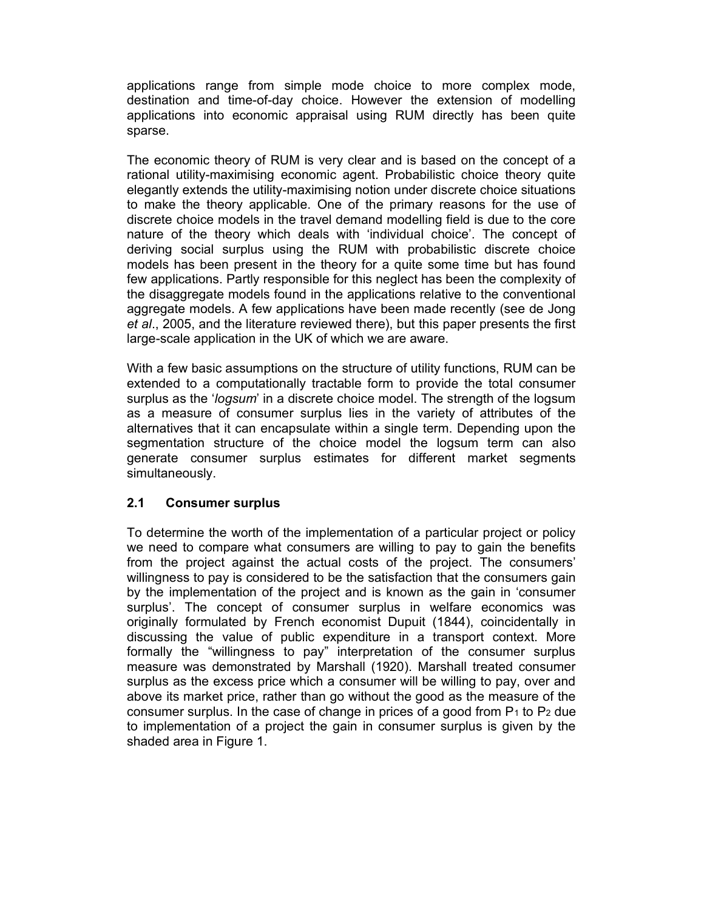applications range from simple mode choice to more complex mode, destination and time-of-day choice. However the extension of modelling applications into economic appraisal using RUM directly has been quite sparse.

The economic theory of RUM is very clear and is based on the concept of a rational utility-maximising economic agent. Probabilistic choice theory quite elegantly extends the utility-maximising notion under discrete choice situations to make the theory applicable. One of the primary reasons for the use of discrete choice models in the travel demand modelling field is due to the core nature of the theory which deals with 'individual choice'. The concept of deriving social surplus using the RUM with probabilistic discrete choice models has been present in the theory for a quite some time but has found few applications. Partly responsible for this neglect has been the complexity of the disaggregate models found in the applications relative to the conventional aggregate models. A few applications have been made recently (see de Jong et al., 2005, and the literature reviewed there), but this paper presents the first large-scale application in the UK of which we are aware.

With a few basic assumptions on the structure of utility functions, RUM can be extended to a computationally tractable form to provide the total consumer surplus as the 'logsum' in a discrete choice model. The strength of the logsum as a measure of consumer surplus lies in the variety of attributes of the alternatives that it can encapsulate within a single term. Depending upon the segmentation structure of the choice model the logsum term can also generate consumer surplus estimates for different market segments simultaneously.

## 2.1 Consumer surplus

To determine the worth of the implementation of a particular project or policy we need to compare what consumers are willing to pay to gain the benefits from the project against the actual costs of the project. The consumers' willingness to pay is considered to be the satisfaction that the consumers gain by the implementation of the project and is known as the gain in 'consumer surplus'. The concept of consumer surplus in welfare economics was originally formulated by French economist Dupuit (1844), coincidentally in discussing the value of public expenditure in a transport context. More formally the "willingness to pay" interpretation of the consumer surplus measure was demonstrated by Marshall (1920). Marshall treated consumer surplus as the excess price which a consumer will be willing to pay, over and above its market price, rather than go without the good as the measure of the consumer surplus. In the case of change in prices of a good from  $P_1$  to  $P_2$  due to implementation of a project the gain in consumer surplus is given by the shaded area in Figure 1.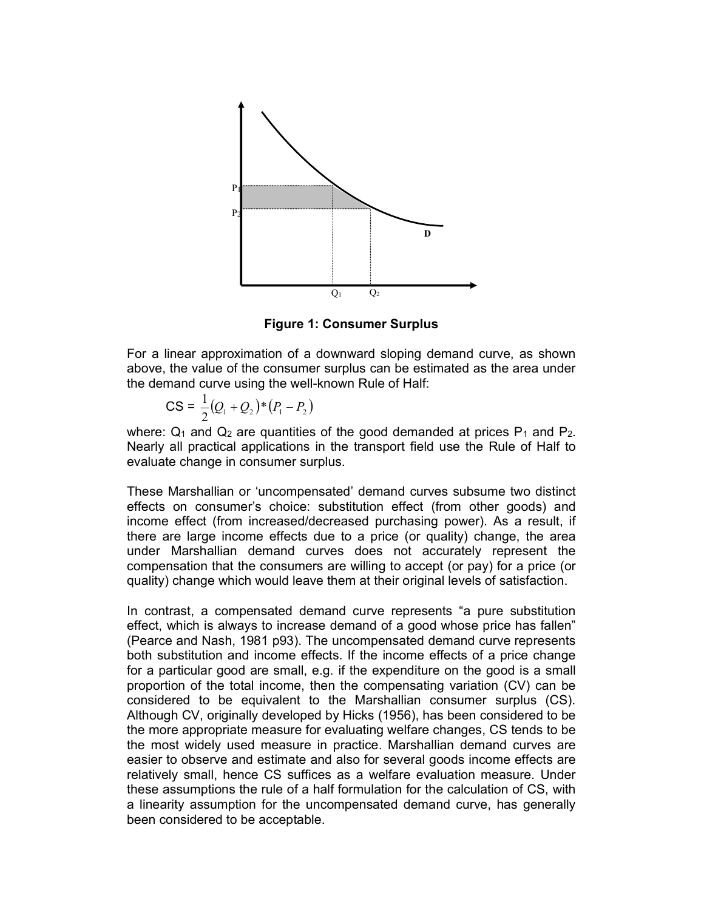

Figure 1: Consumer Surplus

For a linear approximation of a downward sloping demand curve, as shown above, the value of the consumer surplus can be estimated as the area under the demand curve using the well-known Rule of Half:

$$
CS = \frac{1}{2}(Q_1 + Q_2)^*(P_1 - P_2)
$$

where:  $Q_1$  and  $Q_2$  are quantities of the good demanded at prices  $P_1$  and  $P_2$ . Nearly all practical applications in the transport field use the Rule of Half to evaluate change in consumer surplus.

These Marshallian or 'uncompensated' demand curves subsume two distinct effects on consumer's choice: substitution effect (from other goods) and income effect (from increased/decreased purchasing power). As a result, if there are large income effects due to a price (or quality) change, the area under Marshallian demand curves does not accurately represent the compensation that the consumers are willing to accept (or pay) for a price (or quality) change which would leave them at their original levels of satisfaction.

In contrast, a compensated demand curve represents "a pure substitution effect, which is always to increase demand of a good whose price has fallen" (Pearce and Nash, 1981 p93). The uncompensated demand curve represents both substitution and income effects. If the income effects of a price change for a particular good are small, e.g. if the expenditure on the good is a small proportion of the total income, then the compensating variation (CV) can be considered to be equivalent to the Marshallian consumer surplus (CS). Although CV, originally developed by Hicks (1956), has been considered to be the more appropriate measure for evaluating welfare changes, CS tends to be the most widely used measure in practice. Marshallian demand curves are easier to observe and estimate and also for several goods income effects are relatively small, hence CS suffices as a welfare evaluation measure. Under these assumptions the rule of a half formulation for the calculation of CS, with a linearity assumption for the uncompensated demand curve, has generally been considered to be acceptable.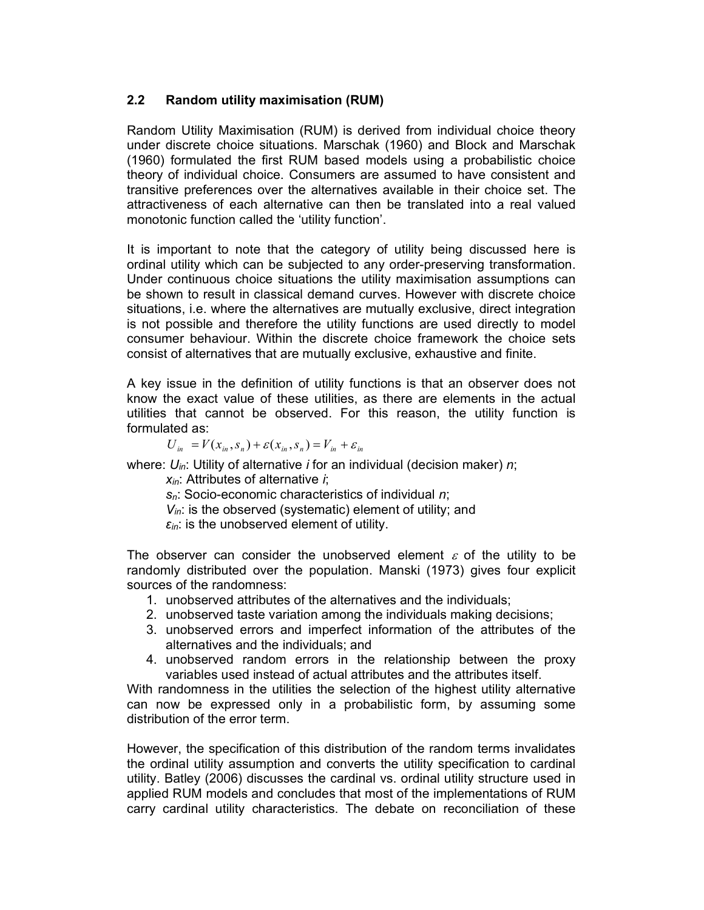## 2.2 Random utility maximisation (RUM)

Random Utility Maximisation (RUM) is derived from individual choice theory under discrete choice situations. Marschak (1960) and Block and Marschak (1960) formulated the first RUM based models using a probabilistic choice theory of individual choice. Consumers are assumed to have consistent and transitive preferences over the alternatives available in their choice set. The attractiveness of each alternative can then be translated into a real valued monotonic function called the 'utility function'.

It is important to note that the category of utility being discussed here is ordinal utility which can be subjected to any order-preserving transformation. Under continuous choice situations the utility maximisation assumptions can be shown to result in classical demand curves. However with discrete choice situations, i.e. where the alternatives are mutually exclusive, direct integration is not possible and therefore the utility functions are used directly to model consumer behaviour. Within the discrete choice framework the choice sets consist of alternatives that are mutually exclusive, exhaustive and finite.

A key issue in the definition of utility functions is that an observer does not know the exact value of these utilities, as there are elements in the actual utilities that cannot be observed. For this reason, the utility function is formulated as:

$$
U_{in} = V(x_{in}, s_n) + \varepsilon(x_{in}, s_n) = V_{in} + \varepsilon_{in}
$$

where:  $U_{in}$ : Utility of alternative *i* for an individual (decision maker) *n*;

 $x_{in}$ : Attributes of alternative *i*:

 $s_n$ : Socio-economic characteristics of individual  $n$ :

 $V_{in}$ : is the observed (systematic) element of utility; and

 $\varepsilon_{in}$ : is the unobserved element of utility.

The observer can consider the unobserved element  $\varepsilon$  of the utility to be randomly distributed over the population. Manski (1973) gives four explicit sources of the randomness:

- 1. unobserved attributes of the alternatives and the individuals;
- 2. unobserved taste variation among the individuals making decisions;
- 3. unobserved errors and imperfect information of the attributes of the alternatives and the individuals; and
- 4. unobserved random errors in the relationship between the proxy variables used instead of actual attributes and the attributes itself.

With randomness in the utilities the selection of the highest utility alternative can now be expressed only in a probabilistic form, by assuming some distribution of the error term.

However, the specification of this distribution of the random terms invalidates the ordinal utility assumption and converts the utility specification to cardinal utility. Batley (2006) discusses the cardinal vs. ordinal utility structure used in applied RUM models and concludes that most of the implementations of RUM carry cardinal utility characteristics. The debate on reconciliation of these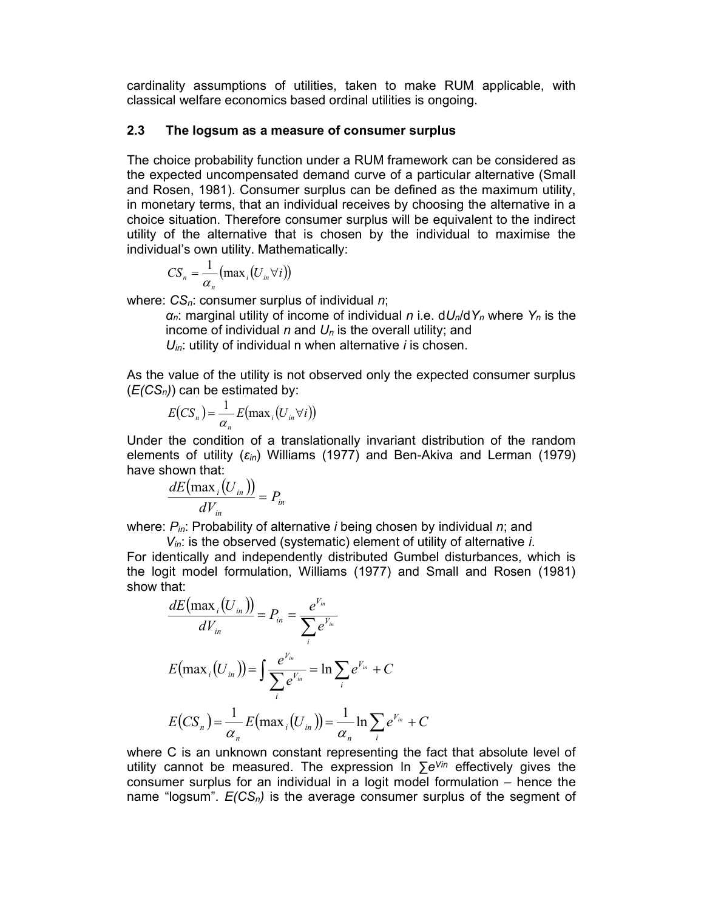cardinality assumptions of utilities, taken to make RUM applicable, with classical welfare economics based ordinal utilities is ongoing.

### 2.3 The logsum as a measure of consumer surplus

The choice probability function under a RUM framework can be considered as the expected uncompensated demand curve of a particular alternative (Small and Rosen, 1981). Consumer surplus can be defined as the maximum utility, in monetary terms, that an individual receives by choosing the alternative in a choice situation. Therefore consumer surplus will be equivalent to the indirect utility of the alternative that is chosen by the individual to maximise the individual's own utility. Mathematically: ality assumptions of utilities, taken to make RUM applicable, with<br>al welfare economics based ordinal utilities is ongoing.<br>The logsum as a measure of consumer surplus<br>oice probability function under a RUM framework can b The logsum as a measure of consumer surplus<br>bice probability function under a RUM framework can be considered as<br>eected uncompensated demand curve of a particular alternative (Small<br>sen, 1981). Consumer surplus can be def

$$
CS_n = \frac{1}{\alpha_n} (\max_i (U_{in} \forall i))
$$

where:  $CS_n$ : consumer surplus of individual  $n$ ;

 $\alpha_n$ : marginal utility of income of individual n i.e.  $dU_n/dY_n$  where  $Y_n$  is the income of individual n and  $U_n$  is the overall utility; and

 $U_{in}$ : utility of individual n when alternative *i* is chosen.

As the value of the utility is not observed only the expected consumer surplus  $(E(CS_n))$  can be estimated by:

$$
E(CS_n) = \frac{1}{\alpha_n} E(\max_i (U_{in} \forall i))
$$

Under the condition of a translationally invariant distribution of the random elements of utility  $(\varepsilon_{in})$  Williams (1977) and Ben-Akiva and Lerman (1979) have shown that:

$$
\frac{dE\big(\max_i\big(U_{in}\big)\big)}{dV_{in}} = P_{in}
$$

where:  $P_{in}$ : Probability of alternative *i* being chosen by individual *n*; and

 $V_{in}$ : is the observed (systematic) element of utility of alternative *i*. For identically and independently distributed Gumbel disturbances, which is the logit model formulation, Williams (1977) and Small and Rosen (1981)

As the value of the utility is not observed only the expected consumer surplus  
\n
$$
(E(CS_n))
$$
 can be estimated by:  
\n
$$
E(CS_n) = \frac{1}{\alpha_n} E(\max_i(U_m \forall i))
$$
\nUnder the condition of a translationally invariant distribution of the random elements of utility  $(\varepsilon_n)$  Williams (1977) and Ben-Akiva and Lerman (1979)  
\nwhere:  $P_{in}$ : Probability of alternative *i* being chosen by individual *n*; and  $dV_{in}$ : is the observed (systematic) element of utility of alternative *i*.  
\nFor identically and independently distributed Gumbel disturbances, which is the logit model formulation, Williams (1977) and Small and Rosen (1981)  
\nshow that:  
\n
$$
\frac{dE(\max_i(U_m))}{dV_{in}} = P_{in} = \frac{e^{V_m}}{\sum_i e^{V_m}}
$$
\n
$$
E(\max_i(U_m)) = \int \frac{e^{V_m}}{2e^{V_m}} = \ln \sum_i e^{V_m} + C
$$
\nwhere C is an unknown constant representing the fact that absolute level of utility cannot be measured. The expression  $\ln \sum_i e^{V_{in}} + C$   
\nwhere C is an unknown constant representing the fact that absolute level of utility cannot be measured. The expression  $\ln \sum_i e^{V_{in}}$  effectively gives the consumer surplus for an individual in a logit model formulation – hence the

where C is an unknown constant representing the fact that absolute level of utility cannot be measured. The expression In  $\sum e^{\sqrt{u}}$  effectively gives the consumer surplus for an individual in a logit model formulation – hence the name "logsum".  $E(CS_n)$  is the average consumer surplus of the segment of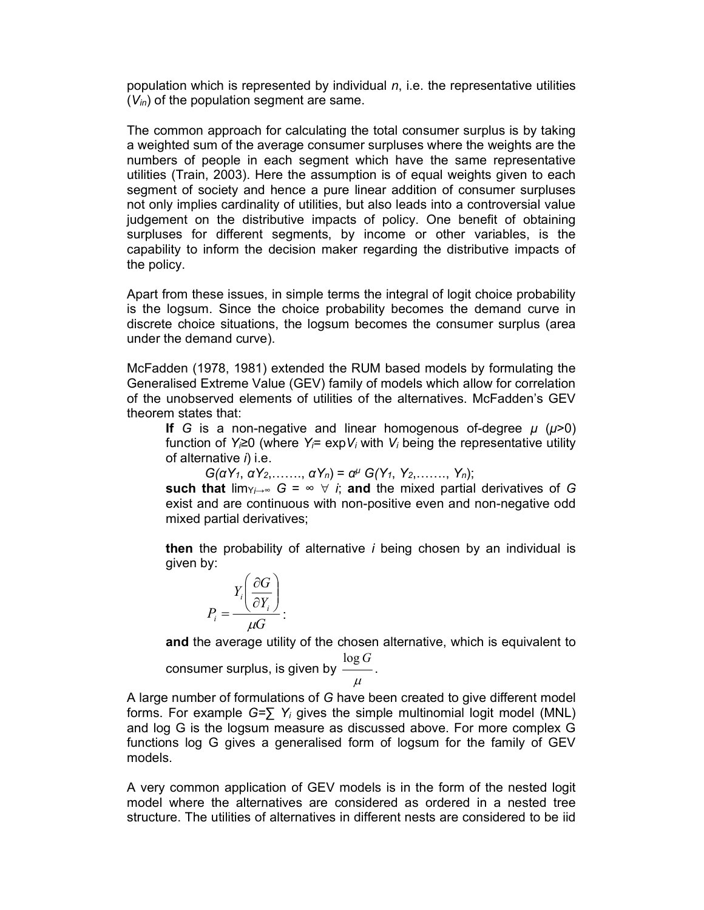population which is represented by individual  $n$ , i.e. the representative utilities  $(V_{in})$  of the population segment are same.

The common approach for calculating the total consumer surplus is by taking a weighted sum of the average consumer surpluses where the weights are the numbers of people in each segment which have the same representative utilities (Train, 2003). Here the assumption is of equal weights given to each segment of society and hence a pure linear addition of consumer surpluses not only implies cardinality of utilities, but also leads into a controversial value judgement on the distributive impacts of policy. One benefit of obtaining surpluses for different segments, by income or other variables, is the capability to inform the decision maker regarding the distributive impacts of the policy.

Apart from these issues, in simple terms the integral of logit choice probability is the logsum. Since the choice probability becomes the demand curve in discrete choice situations, the logsum becomes the consumer surplus (area under the demand curve).

McFadden (1978, 1981) extended the RUM based models by formulating the Generalised Extreme Value (GEV) family of models which allow for correlation of the unobserved elements of utilities of the alternatives. McFadden's GEV theorem states that:

If G is a non-negative and linear homogenous of-degree  $\mu$  ( $\mu$ >0) function of Y<sub>i</sub>≥0 (where Y<sub>i</sub>= expV<sub>i</sub> with V<sub>i</sub> being the representative utility of alternative  $i$ ) i.e.

 $G(\alpha Y_1, \alpha Y_2, \ldots, \alpha Y_n) = \alpha^{\mu} G(Y_1, Y_2, \ldots, Y_n);$ 

such that lim<sub>Yi→∞</sub>  $G = \infty$   $\forall$  *i*; and the mixed partial derivatives of G exist and are continuous with non-positive even and non-negative odd mixed partial derivatives;

then the probability of alternative  $i$  being chosen by an individual is given by:

$$
P_i = \frac{Y_i \left(\frac{\partial G}{\partial Y_i}\right)}{\mu G}.
$$

and the average utility of the chosen alternative, which is equivalent to

consumer surplus, is given by  $\mu$  $log G$ .

A large number of formulations of G have been created to give different model forms. For example  $G=\sum Y_i$  gives the simple multinomial logit model (MNL) and log G is the logsum measure as discussed above. For more complex G functions log G gives a generalised form of logsum for the family of GEV models.

A very common application of GEV models is in the form of the nested logit model where the alternatives are considered as ordered in a nested tree structure. The utilities of alternatives in different nests are considered to be iid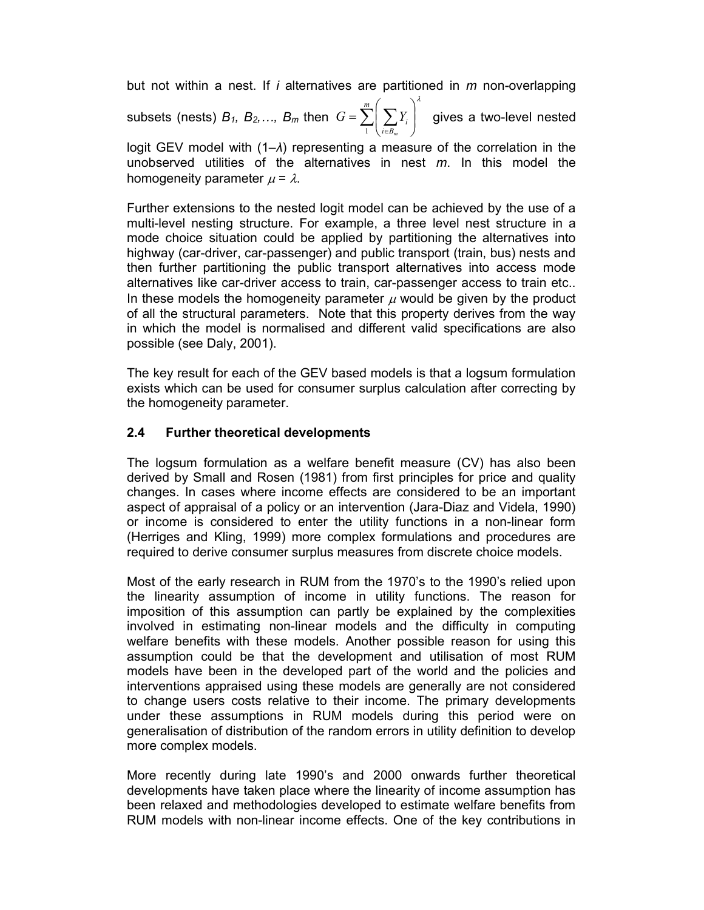but not within a nest. If i alternatives are partitioned in  *non-overlapping* subsets (nests)  $B_1$ ,  $B_2$ ,...,  $B_m$  then  $G = \sum_{i=1}^{m} \left( \sum_{i=1}^{m} Y_i \right)^2$ J ).  $\overline{\phantom{a}}$  $\setminus$ ſ  $=$  $\in$ m  $i \in B$ , i m  $G = \sum \sum Y_i$ 1 λ gives a two-level nested

logit GEV model with (1–λ) representing a measure of the correlation in the unobserved utilities of the alternatives in nest  $m$ . In this model the homogeneity parameter  $\mu = \lambda$ .

Further extensions to the nested logit model can be achieved by the use of a multi-level nesting structure. For example, a three level nest structure in a mode choice situation could be applied by partitioning the alternatives into highway (car-driver, car-passenger) and public transport (train, bus) nests and then further partitioning the public transport alternatives into access mode alternatives like car-driver access to train, car-passenger access to train etc.. In these models the homogeneity parameter  $\mu$  would be given by the product of all the structural parameters. Note that this property derives from the way in which the model is normalised and different valid specifications are also possible (see Daly, 2001).

The key result for each of the GEV based models is that a logsum formulation exists which can be used for consumer surplus calculation after correcting by the homogeneity parameter.

# 2.4 Further theoretical developments

The logsum formulation as a welfare benefit measure (CV) has also been derived by Small and Rosen (1981) from first principles for price and quality changes. In cases where income effects are considered to be an important aspect of appraisal of a policy or an intervention (Jara-Diaz and Videla, 1990) or income is considered to enter the utility functions in a non-linear form (Herriges and Kling, 1999) more complex formulations and procedures are required to derive consumer surplus measures from discrete choice models.

Most of the early research in RUM from the 1970's to the 1990's relied upon the linearity assumption of income in utility functions. The reason for imposition of this assumption can partly be explained by the complexities involved in estimating non-linear models and the difficulty in computing welfare benefits with these models. Another possible reason for using this assumption could be that the development and utilisation of most RUM models have been in the developed part of the world and the policies and interventions appraised using these models are generally are not considered to change users costs relative to their income. The primary developments under these assumptions in RUM models during this period were on generalisation of distribution of the random errors in utility definition to develop more complex models.

More recently during late 1990's and 2000 onwards further theoretical developments have taken place where the linearity of income assumption has been relaxed and methodologies developed to estimate welfare benefits from RUM models with non-linear income effects. One of the key contributions in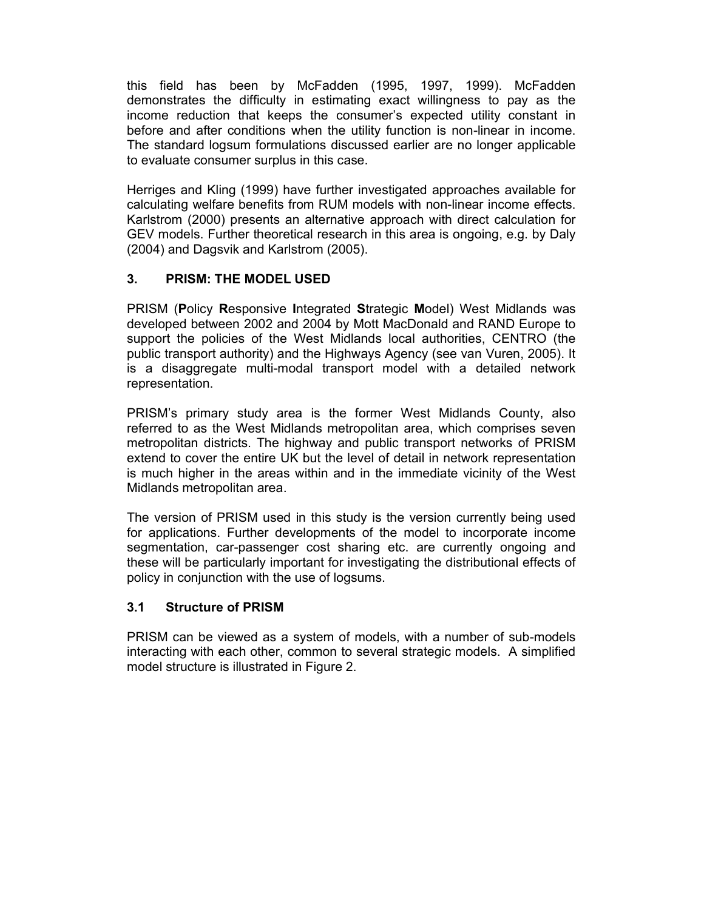this field has been by McFadden (1995, 1997, 1999). McFadden demonstrates the difficulty in estimating exact willingness to pay as the income reduction that keeps the consumer's expected utility constant in before and after conditions when the utility function is non-linear in income. The standard logsum formulations discussed earlier are no longer applicable to evaluate consumer surplus in this case.

Herriges and Kling (1999) have further investigated approaches available for calculating welfare benefits from RUM models with non-linear income effects. Karlstrom (2000) presents an alternative approach with direct calculation for GEV models. Further theoretical research in this area is ongoing, e.g. by Daly (2004) and Dagsvik and Karlstrom (2005).

## 3. PRISM: THE MODEL USED

PRISM (Policy Responsive Integrated Strategic Model) West Midlands was developed between 2002 and 2004 by Mott MacDonald and RAND Europe to support the policies of the West Midlands local authorities, CENTRO (the public transport authority) and the Highways Agency (see van Vuren, 2005). It is a disaggregate multi-modal transport model with a detailed network representation.

PRISM's primary study area is the former West Midlands County, also referred to as the West Midlands metropolitan area, which comprises seven metropolitan districts. The highway and public transport networks of PRISM extend to cover the entire UK but the level of detail in network representation is much higher in the areas within and in the immediate vicinity of the West Midlands metropolitan area.

The version of PRISM used in this study is the version currently being used for applications. Further developments of the model to incorporate income segmentation, car-passenger cost sharing etc. are currently ongoing and these will be particularly important for investigating the distributional effects of policy in conjunction with the use of logsums.

## 3.1 Structure of PRISM

PRISM can be viewed as a system of models, with a number of sub-models interacting with each other, common to several strategic models. A simplified model structure is illustrated in Figure 2.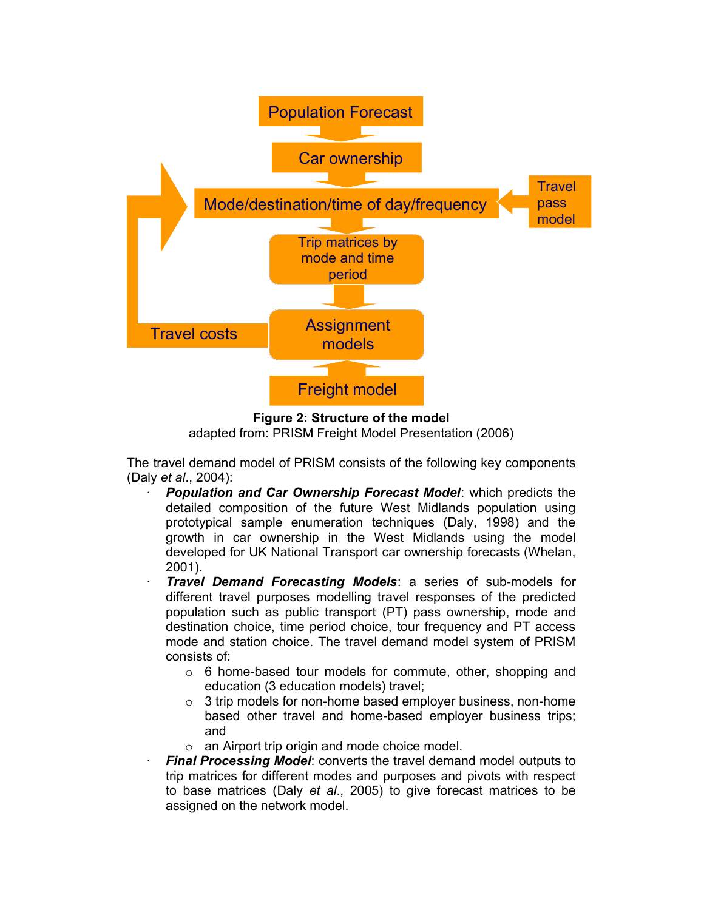

Figure 2: Structure of the model adapted from: PRISM Freight Model Presentation (2006) -

The travel demand model of PRISM consists of the following key components (Daly et al., 2004):

- Population and Car Ownership Forecast Model: which predicts the detailed composition of the future West Midlands population using prototypical sample enumeration techniques (Daly, 1998) and the growth in car ownership in the West Midlands using the model developed for UK National Transport car ownership forecasts (Whelan, 2001).
- Travel Demand Forecasting Models: a series of sub-models for different travel purposes modelling travel responses of the predicted population such as public transport (PT) pass ownership, mode and destination choice, time period choice, tour frequency and PT access mode and station choice. The travel demand model system of PRISM consists of:
	- o 6 home-based tour models for commute, other, shopping and education (3 education models) travel;
	- $\circ$  3 trip models for non-home based employer business, non-home based other travel and home-based employer business trips; and
	- o an Airport trip origin and mode choice model.
- **Final Processing Model:** converts the travel demand model outputs to trip matrices for different modes and purposes and pivots with respect to base matrices (Daly et al., 2005) to give forecast matrices to be assigned on the network model.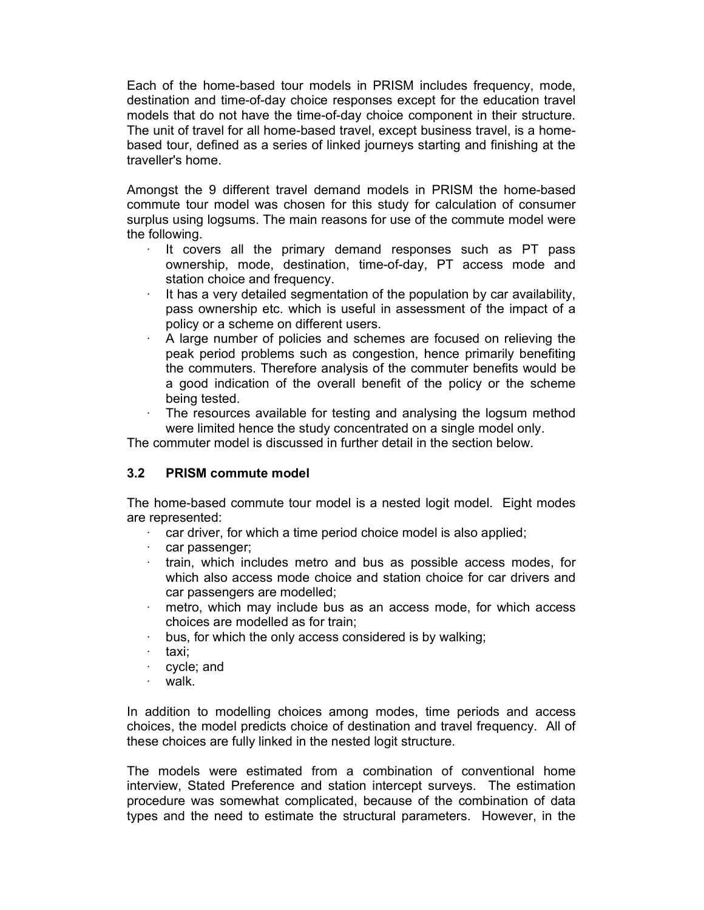Each of the home-based tour models in PRISM includes frequency, mode, destination and time-of-day choice responses except for the education travel models that do not have the time-of-day choice component in their structure. The unit of travel for all home-based travel, except business travel, is a homebased tour, defined as a series of linked journeys starting and finishing at the traveller's home.

Amongst the 9 different travel demand models in PRISM the home-based commute tour model was chosen for this study for calculation of consumer surplus using logsums. The main reasons for use of the commute model were the following.

- · It covers all the primary demand responses such as PT pass ownership, mode, destination, time-of-day, PT access mode and station choice and frequency.
- $\cdot$  It has a very detailed segmentation of the population by car availability, pass ownership etc. which is useful in assessment of the impact of a policy or a scheme on different users.
- A large number of policies and schemes are focused on relieving the peak period problems such as congestion, hence primarily benefiting the commuters. Therefore analysis of the commuter benefits would be a good indication of the overall benefit of the policy or the scheme being tested.
- The resources available for testing and analysing the logsum method were limited hence the study concentrated on a single model only.

The commuter model is discussed in further detail in the section below.

## 3.2 PRISM commute model

The home-based commute tour model is a nested logit model. Eight modes are represented:

- $\cdot$  car driver, for which a time period choice model is also applied;
- · car passenger;
- · train, which includes metro and bus as possible access modes, for which also access mode choice and station choice for car drivers and car passengers are modelled;
- metro, which may include bus as an access mode, for which access choices are modelled as for train;
- · bus, for which the only access considered is by walking;
- · taxi;
- cycle; and
- · walk.

In addition to modelling choices among modes, time periods and access choices, the model predicts choice of destination and travel frequency. All of these choices are fully linked in the nested logit structure.

The models were estimated from a combination of conventional home interview, Stated Preference and station intercept surveys. The estimation procedure was somewhat complicated, because of the combination of data types and the need to estimate the structural parameters. However, in the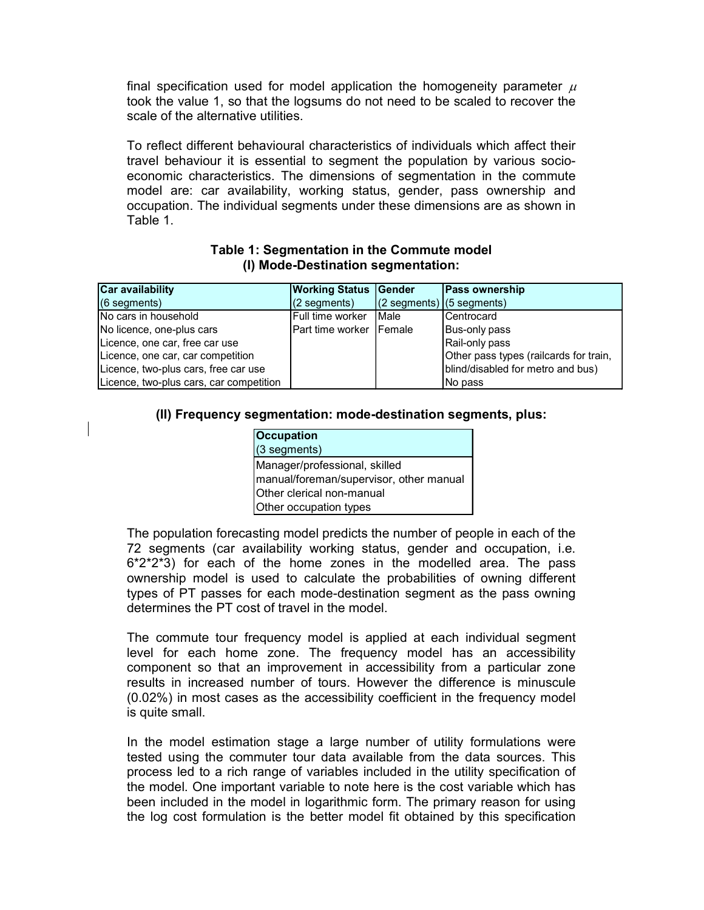## Table 1: Segmentation in the Commute model (I) Mode-Destination segmentation:

| Table 1.                                                                                     | model are: car availability, working status, gender, pass ownership and<br>occupation. The individual segments under these dimensions are as shown in             |                                                          |                                                                 |                                                                                                                                                                    |
|----------------------------------------------------------------------------------------------|-------------------------------------------------------------------------------------------------------------------------------------------------------------------|----------------------------------------------------------|-----------------------------------------------------------------|--------------------------------------------------------------------------------------------------------------------------------------------------------------------|
| <b>Car availability</b><br>(6 segments)<br>No cars in household<br>No licence, one-plus cars | Table 1: Segmentation in the Commute model<br>(I) Mode-Destination segmentation:<br><b>Working Status</b><br>(2 segments)<br>Full time worker<br>Part time worker | <b>IGender</b><br>(2 segments)<br>Male<br><b>IFemale</b> | Pass ownership<br>$(5$ segments)<br>Centrocard<br>Bus-only pass |                                                                                                                                                                    |
|                                                                                              |                                                                                                                                                                   |                                                          |                                                                 | economic characteristics. The dimensions of segmentation in the commute                                                                                            |
|                                                                                              |                                                                                                                                                                   |                                                          |                                                                 | To reflect different behavioural characteristics of individuals which affect their<br>travel behaviour it is essential to segment the population by various socio- |
|                                                                                              |                                                                                                                                                                   |                                                          |                                                                 |                                                                                                                                                                    |

## (II) Frequency segmentation: mode-destination segments, plus:

| <b>Occupation</b>                       |
|-----------------------------------------|
| $(3$ segments)                          |
| Manager/professional, skilled           |
| manual/foreman/supervisor, other manual |
| <b>Other clerical non-manual</b>        |
| Other occupation types                  |

The population forecasting model predicts the number of people in each of the 72 segments (car availability working status, gender and occupation, i.e. 6\*2\*2\*3) for each of the home zones in the modelled area. The pass ownership model is used to calculate the probabilities of owning different types of PT passes for each mode-destination segment as the pass owning determines the PT cost of travel in the model.

The commute tour frequency model is applied at each individual segment level for each home zone. The frequency model has an accessibility component so that an improvement in accessibility from a particular zone results in increased number of tours. However the difference is minuscule (0.02%) in most cases as the accessibility coefficient in the frequency model is quite small.

In the model estimation stage a large number of utility formulations were tested using the commuter tour data available from the data sources. This process led to a rich range of variables included in the utility specification of the model. One important variable to note here is the cost variable which has been included in the model in logarithmic form. The primary reason for using the log cost formulation is the better model fit obtained by this specification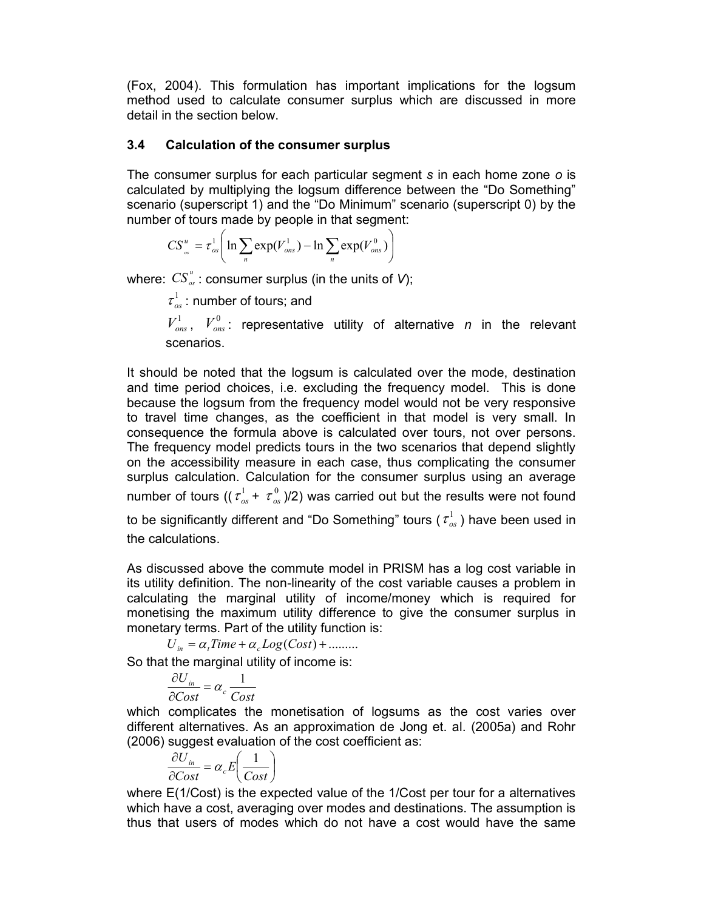(Fox, 2004). This formulation has important implications for the logsum method used to calculate consumer surplus which are discussed in more detail in the section below.

## 3.4 Calculation of the consumer surplus

The consumer surplus for each particular segment  $s$  in each home zone  $o$  is calculated by multiplying the logsum difference between the "Do Something" scenario (superscript 1) and the "Do Minimum" scenario (superscript 0) by the number of tours made by people in that segment:

$$
CS_{\omega}^{u} = \tau_{os}^{1} \bigg( \ln \sum_{n} \exp(V_{ons}^{1}) - \ln \sum_{n} \exp(V_{ons}^{0}) \bigg)
$$

where:  $CS_{\infty}^{u}$ : consumer surplus (in the units of V);

 $\tau_{_{OS}}^1$  : number of tours; and

 $V_{\text{ons}}^1$ ,  $V_{\text{ons}}^0$ : representative utility of alternative n in the relevant scenarios.

It should be noted that the logsum is calculated over the mode, destination and time period choices, i.e. excluding the frequency model. This is done because the logsum from the frequency model would not be very responsive to travel time changes, as the coefficient in that model is very small. In consequence the formula above is calculated over tours, not over persons. The frequency model predicts tours in the two scenarios that depend slightly on the accessibility measure in each case, thus complicating the consumer surplus calculation. Calculation for the consumer surplus using an average number of tours ((  $\tau_{os}^1 + \, \tau_{os}^0$  )/2) was carried out but the results were not found to be significantly different and "Do Something" tours (  $\tau_{os}^1$  ) have been used in the calculations.

As discussed above the commute model in PRISM has a log cost variable in its utility definition. The non-linearity of the cost variable causes a problem in calculating the marginal utility of income/money which is required for monetising the maximum utility difference to give the consumer surplus in monetary terms. Part of the utility function is:

 $U_{in} = \alpha_{i}$ Time +  $\alpha_{i}$  Log(Cost) + ........

So that the marginal utility of income is:

$$
\frac{\partial U_{in}}{\partial Cost} = \alpha_c \frac{1}{Cost}
$$

which complicates the monetisation of logsums as the cost varies over different alternatives. As an approximation de Jong et. al. (2005a) and Rohr (2006) suggest evaluation of the cost coefficient as:

$$
\frac{\partial U_{in}}{\partial Cost} = \alpha_c E \bigg( \frac{1}{Cost} \bigg)
$$

where E(1/Cost) is the expected value of the 1/Cost per tour for a alternatives which have a cost, averaging over modes and destinations. The assumption is thus that users of modes which do not have a cost would have the same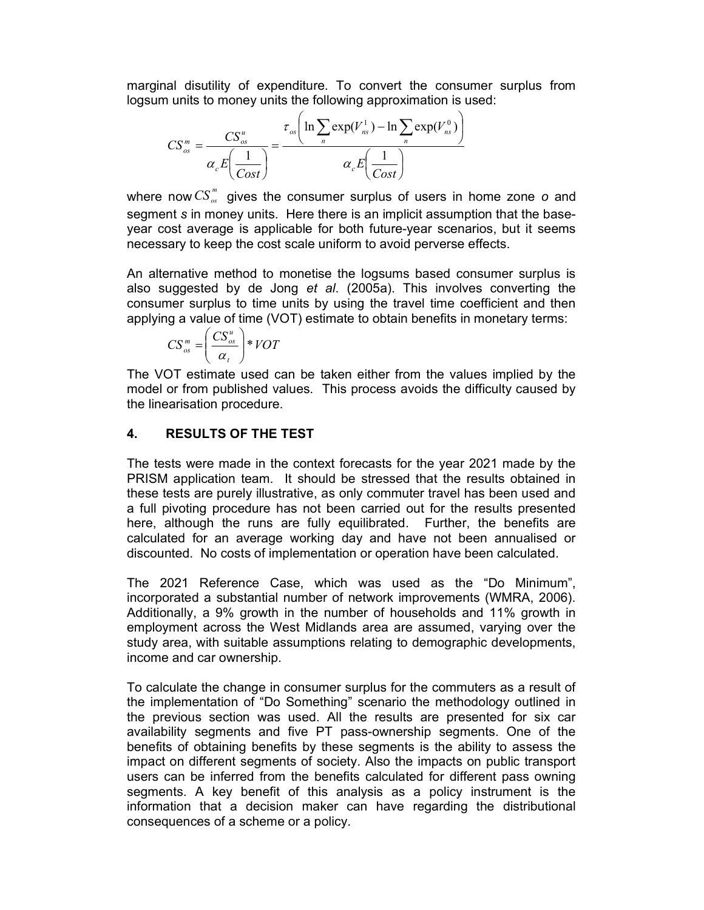marginal disutility of expenditure. To convert the consumer surplus from logsum units to money units the following approximation is used:

$$
CS_{os}^{m} = \frac{CS_{os}^{u}}{\alpha_c E\left(\frac{1}{Cost}\right)} = \frac{\tau_{os}\left(\ln \sum_{n} exp(V_{ns}^{1}) - \ln \sum_{n} exp(V_{ns}^{0})\right)}{\alpha_c E\left(\frac{1}{Cost}\right)}
$$

where now  $CS_{\infty}^{m}$  gives the consumer surplus of users in home zone o and segment s in money units. Here there is an implicit assumption that the baseyear cost average is applicable for both future-year scenarios, but it seems necessary to keep the cost scale uniform to avoid perverse effects.

An alternative method to monetise the logsums based consumer surplus is also suggested by de Jong et al. (2005a). This involves converting the consumer surplus to time units by using the travel time coefficient and then applying a value of time (VOT) estimate to obtain benefits in monetary terms:

$$
CS_{os}^{m} = \left(\frac{CS_{os}^{u}}{\alpha_{t}}\right) * VOT
$$

The VOT estimate used can be taken either from the values implied by the model or from published values. This process avoids the difficulty caused by the linearisation procedure.

# 4. RESULTS OF THE TEST

The tests were made in the context forecasts for the year 2021 made by the PRISM application team. It should be stressed that the results obtained in these tests are purely illustrative, as only commuter travel has been used and a full pivoting procedure has not been carried out for the results presented here, although the runs are fully equilibrated. Further, the benefits are calculated for an average working day and have not been annualised or discounted. No costs of implementation or operation have been calculated.

The 2021 Reference Case, which was used as the "Do Minimum", incorporated a substantial number of network improvements (WMRA, 2006). Additionally, a 9% growth in the number of households and 11% growth in employment across the West Midlands area are assumed, varying over the study area, with suitable assumptions relating to demographic developments, income and car ownership.

To calculate the change in consumer surplus for the commuters as a result of the implementation of "Do Something" scenario the methodology outlined in the previous section was used. All the results are presented for six car availability segments and five PT pass-ownership segments. One of the benefits of obtaining benefits by these segments is the ability to assess the impact on different segments of society. Also the impacts on public transport users can be inferred from the benefits calculated for different pass owning segments. A key benefit of this analysis as a policy instrument is the information that a decision maker can have regarding the distributional consequences of a scheme or a policy.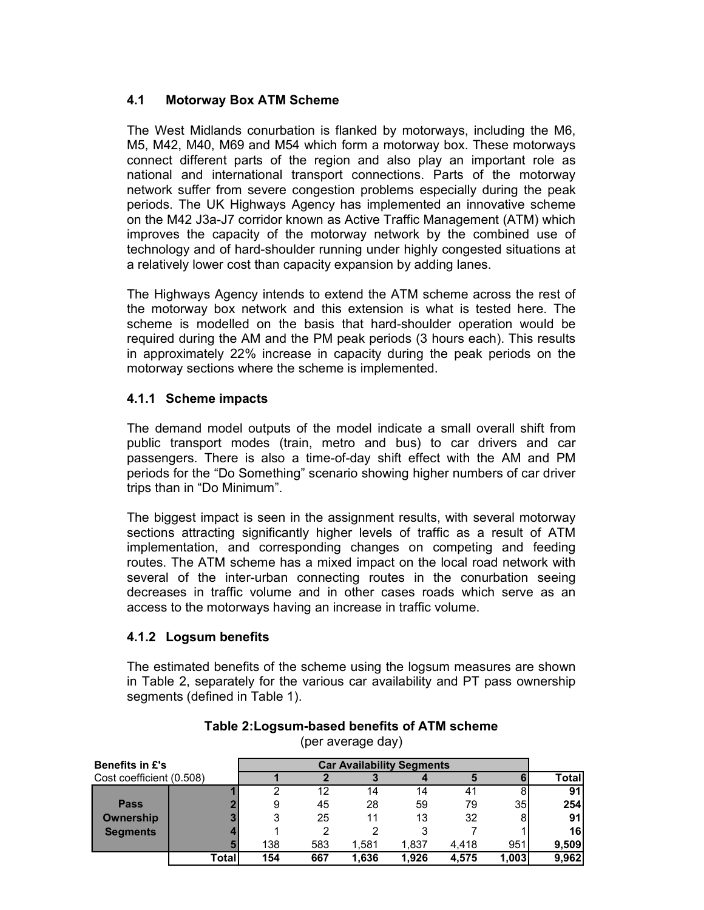## 4.1 Motorway Box ATM Scheme

The West Midlands conurbation is flanked by motorways, including the M6, M5, M42, M40, M69 and M54 which form a motorway box. These motorways connect different parts of the region and also play an important role as national and international transport connections. Parts of the motorway network suffer from severe congestion problems especially during the peak periods. The UK Highways Agency has implemented an innovative scheme on the M42 J3a-J7 corridor known as Active Traffic Management (ATM) which improves the capacity of the motorway network by the combined use of technology and of hard-shoulder running under highly congested situations at a relatively lower cost than capacity expansion by adding lanes.

The Highways Agency intends to extend the ATM scheme across the rest of the motorway box network and this extension is what is tested here. The scheme is modelled on the basis that hard-shoulder operation would be required during the AM and the PM peak periods (3 hours each). This results in approximately 22% increase in capacity during the peak periods on the motorway sections where the scheme is implemented.

## 4.1.1 Scheme impacts

The demand model outputs of the model indicate a small overall shift from public transport modes (train, metro and bus) to car drivers and car passengers. There is also a time-of-day shift effect with the AM and PM periods for the "Do Something" scenario showing higher numbers of car driver trips than in "Do Minimum".

# 4.1.2 Logsum benefits

|                          | $\frac{1}{2}$ $\frac{1}{2}$ $\frac{1}{2}$ $\frac{1}{2}$ $\frac{1}{2}$ $\frac{1}{2}$ $\frac{1}{2}$ $\frac{1}{2}$ $\frac{1}{2}$ $\frac{1}{2}$ $\frac{1}{2}$ $\frac{1}{2}$ $\frac{1}{2}$ $\frac{1}{2}$ $\frac{1}{2}$ $\frac{1}{2}$ $\frac{1}{2}$ $\frac{1}{2}$ $\frac{1}{2}$ $\frac{1}{2}$ $\frac{1}{2}$ $\frac{1}{2}$                                                                                                                                                                                                                 |                                              |                |                   |                                  |                |              |                |  |
|--------------------------|-------------------------------------------------------------------------------------------------------------------------------------------------------------------------------------------------------------------------------------------------------------------------------------------------------------------------------------------------------------------------------------------------------------------------------------------------------------------------------------------------------------------------------------|----------------------------------------------|----------------|-------------------|----------------------------------|----------------|--------------|----------------|--|
|                          | The biggest impact is seen in the assignment results, with several motorway<br>sections attracting significantly higher levels of traffic as a result of ATM<br>implementation, and corresponding changes on competing and feeding<br>routes. The ATM scheme has a mixed impact on the local road network with<br>several of the inter-urban connecting routes in the conurbation seeing<br>decreases in traffic volume and in other cases roads which serve as an<br>access to the motorways having an increase in traffic volume. |                                              |                |                   |                                  |                |              |                |  |
|                          | 4.1.2 Logsum benefits                                                                                                                                                                                                                                                                                                                                                                                                                                                                                                               |                                              |                |                   |                                  |                |              |                |  |
|                          | The estimated benefits of the scheme using the logsum measures are shown<br>in Table 2, separately for the various car availability and PT pass ownership<br>segments (defined in Table 1).                                                                                                                                                                                                                                                                                                                                         | Table 2: Logsum-based benefits of ATM scheme |                | (per average day) |                                  |                |              |                |  |
| <b>Benefits in £'s</b>   |                                                                                                                                                                                                                                                                                                                                                                                                                                                                                                                                     |                                              |                |                   | <b>Car Availability Segments</b> |                |              |                |  |
| Cost coefficient (0.508) |                                                                                                                                                                                                                                                                                                                                                                                                                                                                                                                                     |                                              | $\mathbf{2}$   | 3                 |                                  | 5              | 6            | <b>Total</b>   |  |
|                          |                                                                                                                                                                                                                                                                                                                                                                                                                                                                                                                                     | 2                                            | 12             | 14                | 14                               | 41             | 8            | 91             |  |
| Pass                     |                                                                                                                                                                                                                                                                                                                                                                                                                                                                                                                                     | 9                                            | 45             | 28                | 59                               | 79             | 35           | 254            |  |
| Ownership                |                                                                                                                                                                                                                                                                                                                                                                                                                                                                                                                                     | 3                                            | 25             | 11                | 13                               | 32             |              | 91             |  |
|                          |                                                                                                                                                                                                                                                                                                                                                                                                                                                                                                                                     |                                              | $\mathfrak{p}$ | 2                 | 3                                |                |              | 16             |  |
| <b>Segments</b>          |                                                                                                                                                                                                                                                                                                                                                                                                                                                                                                                                     | 138                                          | 583            | 1,581             | 1,837                            | 4,418<br>4,575 | 951<br>1,003 | 9,509<br>9,962 |  |
|                          | <b>Total</b>                                                                                                                                                                                                                                                                                                                                                                                                                                                                                                                        | 154                                          | 667            | 1,636             | 1,926                            |                |              |                |  |

#### Table 2:Logsum-based benefits of ATM scheme (per average day)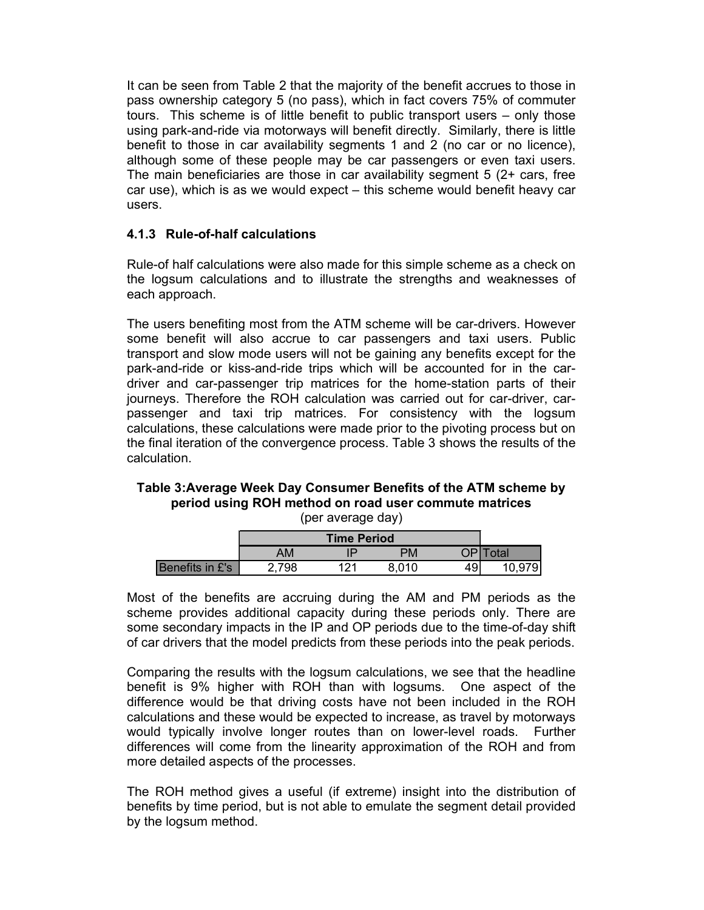It can be seen from Table 2 that the majority of the benefit accrues to those in pass ownership category 5 (no pass), which in fact covers 75% of commuter tours. This scheme is of little benefit to public transport users – only those using park-and-ride via motorways will benefit directly. Similarly, there is little benefit to those in car availability segments 1 and 2 (no car or no licence), although some of these people may be car passengers or even taxi users. The main beneficiaries are those in car availability segment 5 (2+ cars, free car use), which is as we would expect – this scheme would benefit heavy car users.

# 4.1.3 Rule-of-half calculations

Rule-of half calculations were also made for this simple scheme as a check on the logsum calculations and to illustrate the strengths and weaknesses of each approach.

The users benefiting most from the ATM scheme will be car-drivers. However some benefit will also accrue to car passengers and taxi users. Public transport and slow mode users will not be gaining any benefits except for the park-and-ride or kiss-and-ride trips which will be accounted for in the cardriver and car-passenger trip matrices for the home-station parts of their journeys. Therefore the ROH calculation was carried out for car-driver, carpassenger and taxi trip matrices. For consistency with the logsum calculations, these calculations were made prior to the pivoting process but on the final iteration of the convergence process. Table 3 shows the results of the calculation. ere also made for this simple scheme as a check on<br>and to illustrate the strengths and weaknesses of<br>incomment of a passengers and taxit users. Public<br>uccrue to car passengers and taxit users. Public<br>users will not be gain From the convergence process. Table 3 shows the results of the benefits in  $E$ 's 2,798 121 8,010 49 10,979 of the benefits are accound to the period care to carrelations and to fluistrate the strengths and weaknesses of a

#### Table 3:Average Week Day Consumer Benefits of the ATM scheme by period using ROH method on road user commute matrices (per average day)

|                 |       | <b>Time Period</b> |       |    |          |
|-----------------|-------|--------------------|-------|----|----------|
|                 | AM    |                    | PM    |    | OP Total |
| Benefits in £'s | 2,798 | 121                | 8,010 | 49 | 10,979   |

Most of the benefits are accruing during the AM and PM periods as the scheme provides additional capacity during these periods only. There are some secondary impacts in the IP and OP periods due to the time-of-day shift of car drivers that the model predicts from these periods into the peak periods.

Comparing the results with the logsum calculations, we see that the headline benefit is 9% higher with ROH than with logsums. One aspect of the difference would be that driving costs have not been included in the ROH calculations and these would be expected to increase, as travel by motorways would typically involve longer routes than on lower-level roads. Further differences will come from the linearity approximation of the ROH and from more detailed aspects of the processes.

The ROH method gives a useful (if extreme) insight into the distribution of benefits by time period, but is not able to emulate the segment detail provided by the logsum method.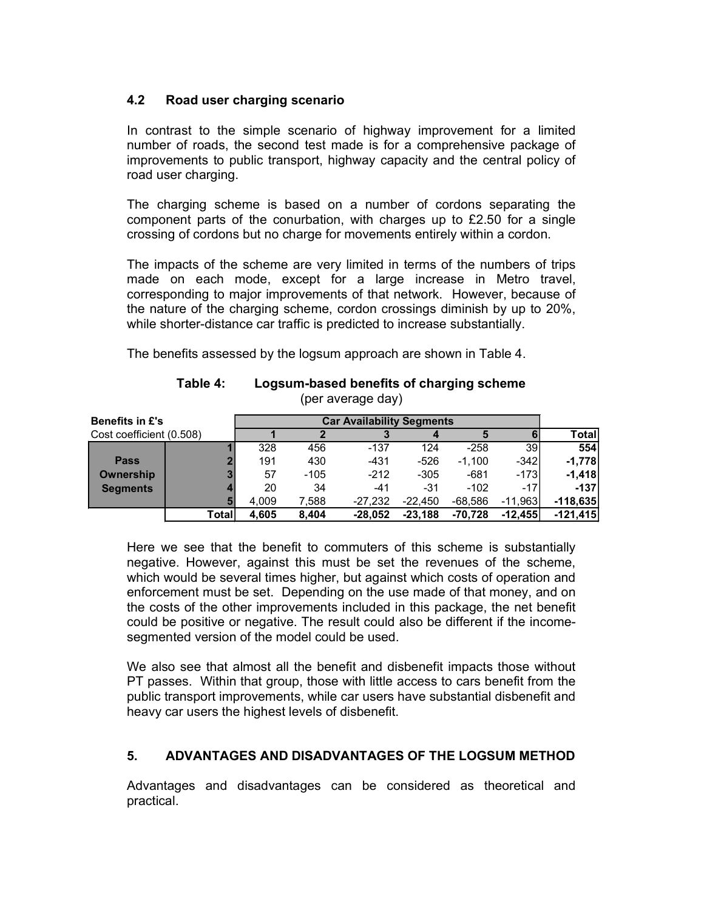## 4.2 Road user charging scenario

In contrast to the simple scenario of highway improvement for a limited number of roads, the second test made is for a comprehensive package of improvements to public transport, highway capacity and the central policy of road user charging.

|                          | nampor or roads, the second test made is for a comprehensive package or<br>improvements to public transport, highway capacity and the central policy of<br>road user charging.                                                                                                                                                                                                                                                                                           |                |                |                                                               |                        |                        |                                                                                 |                          |
|--------------------------|--------------------------------------------------------------------------------------------------------------------------------------------------------------------------------------------------------------------------------------------------------------------------------------------------------------------------------------------------------------------------------------------------------------------------------------------------------------------------|----------------|----------------|---------------------------------------------------------------|------------------------|------------------------|---------------------------------------------------------------------------------|--------------------------|
|                          | The charging scheme is based on a number of cordons separating the<br>component parts of the conurbation, with charges up to £2.50 for a single<br>crossing of cordons but no charge for movements entirely within a cordon.                                                                                                                                                                                                                                             |                |                |                                                               |                        |                        |                                                                                 |                          |
|                          | The impacts of the scheme are very limited in terms of the numbers of trips<br>made on each mode, except for a large increase in Metro travel,<br>corresponding to major improvements of that network. However, because of<br>the nature of the charging scheme, cordon crossings diminish by up to 20%,<br>while shorter-distance car traffic is predicted to increase substantially.<br>The benefits assessed by the logsum approach are shown in Table 4.<br>Table 4: |                |                | Logsum-based benefits of charging scheme<br>(per average day) |                        |                        |                                                                                 |                          |
| <b>Benefits in £'s</b>   |                                                                                                                                                                                                                                                                                                                                                                                                                                                                          |                |                | <b>Car Availability Segments</b>                              |                        |                        |                                                                                 |                          |
| Cost coefficient (0.508) |                                                                                                                                                                                                                                                                                                                                                                                                                                                                          |                | $\overline{2}$ | 3                                                             |                        | 5                      |                                                                                 | <b>Total</b>             |
|                          |                                                                                                                                                                                                                                                                                                                                                                                                                                                                          | 328            | 456            | $-137$                                                        | 124                    | $-258$                 | 39                                                                              | 554                      |
| <b>Pass</b>              |                                                                                                                                                                                                                                                                                                                                                                                                                                                                          | 191            | 430            | $-431$                                                        | $-526$                 | $-1,100$               | $-342$                                                                          | $-1,778$                 |
| <b>Ownership</b>         |                                                                                                                                                                                                                                                                                                                                                                                                                                                                          | 57             | $-105$         | $-212$                                                        | $-305$                 | $-681$                 | $-173$                                                                          | $-1,418$                 |
| <b>Segments</b>          |                                                                                                                                                                                                                                                                                                                                                                                                                                                                          | 20             | 34             | $-41$                                                         | $-31$                  | $-102$                 | $-17$                                                                           | $-137$                   |
|                          | <b>Total</b>                                                                                                                                                                                                                                                                                                                                                                                                                                                             | 4,009<br>4,605 | 7,588<br>8,404 | $-27,232$<br>$-28,052$                                        | $-22,450$<br>$-23,188$ | $-68,586$<br>$-70,728$ | $-11,963$<br>$-12,455$                                                          | $-118,635$<br>$-121,415$ |
|                          |                                                                                                                                                                                                                                                                                                                                                                                                                                                                          |                |                |                                                               |                        |                        |                                                                                 |                          |
|                          | Here we see that the benefit to commuters of this scheme is substantially<br>negative. However, against this must be set the revenues of the scheme,                                                                                                                                                                                                                                                                                                                     |                |                |                                                               |                        |                        | uchiah way la bo sayara timoga bighar hut sasinat whish seste of speration spal |                          |

#### Table 4: Logsum-based benefits of charging scheme (per average day)

Here we see that the benefit to commuters of this scheme is substantially negative. However, against this must be set the revenues of the scheme, which would be several times higher, but against which costs of operation and enforcement must be set. Depending on the use made of that money, and on the costs of the other improvements included in this package, the net benefit could be positive or negative. The result could also be different if the incomesegmented version of the model could be used.

We also see that almost all the benefit and disbenefit impacts those without PT passes. Within that group, those with little access to cars benefit from the public transport improvements, while car users have substantial disbenefit and heavy car users the highest levels of disbenefit.

## 5. ADVANTAGES AND DISADVANTAGES OF THE LOGSUM METHOD

Advantages and disadvantages can be considered as theoretical and practical.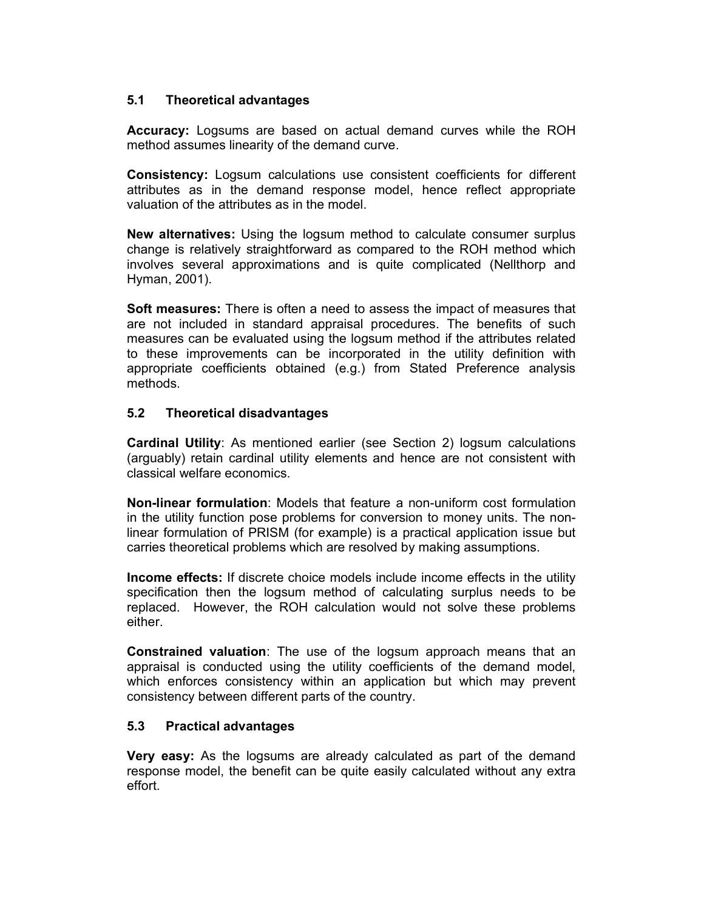## 5.1 Theoretical advantages

Accuracy: Logsums are based on actual demand curves while the ROH method assumes linearity of the demand curve.

Consistency: Logsum calculations use consistent coefficients for different attributes as in the demand response model, hence reflect appropriate valuation of the attributes as in the model.

New alternatives: Using the logsum method to calculate consumer surplus change is relatively straightforward as compared to the ROH method which involves several approximations and is quite complicated (Nellthorp and Hyman, 2001).

Soft measures: There is often a need to assess the impact of measures that are not included in standard appraisal procedures. The benefits of such measures can be evaluated using the logsum method if the attributes related to these improvements can be incorporated in the utility definition with appropriate coefficients obtained (e.g.) from Stated Preference analysis methods.

## 5.2 Theoretical disadvantages

Cardinal Utility: As mentioned earlier (see Section 2) logsum calculations (arguably) retain cardinal utility elements and hence are not consistent with classical welfare economics.

Non-linear formulation: Models that feature a non-uniform cost formulation in the utility function pose problems for conversion to money units. The nonlinear formulation of PRISM (for example) is a practical application issue but carries theoretical problems which are resolved by making assumptions.

Income effects: If discrete choice models include income effects in the utility specification then the logsum method of calculating surplus needs to be replaced. However, the ROH calculation would not solve these problems either.

Constrained valuation: The use of the logsum approach means that an appraisal is conducted using the utility coefficients of the demand model, which enforces consistency within an application but which may prevent consistency between different parts of the country.

## 5.3 Practical advantages

**Very easy:** As the logsums are already calculated as part of the demand response model, the benefit can be quite easily calculated without any extra effort.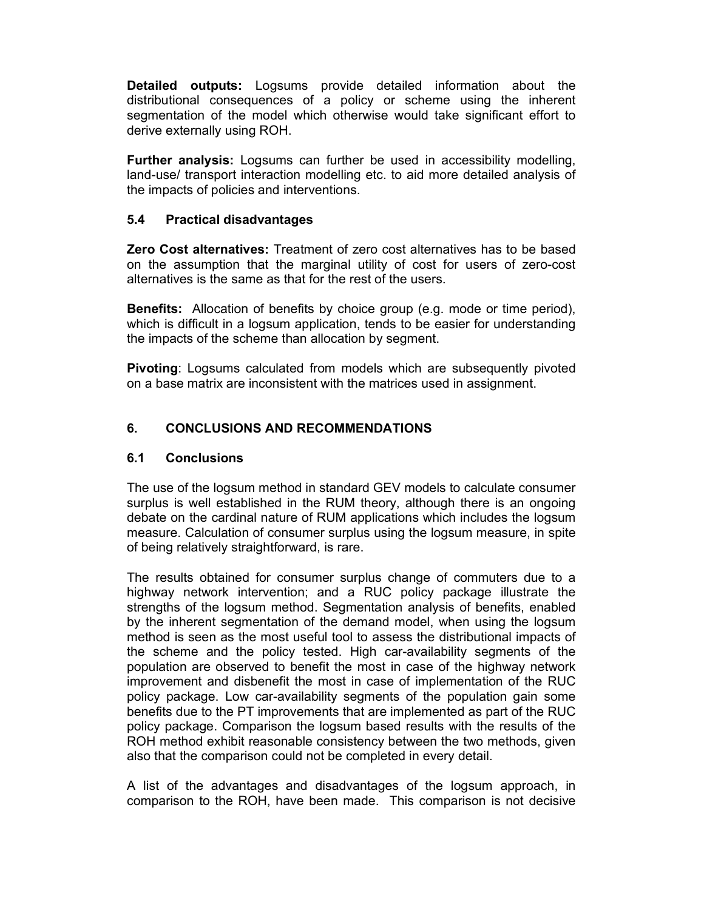Detailed outputs: Logsums provide detailed information about the distributional consequences of a policy or scheme using the inherent segmentation of the model which otherwise would take significant effort to derive externally using ROH.

Further analysis: Logsums can further be used in accessibility modelling, land-use/ transport interaction modelling etc. to aid more detailed analysis of the impacts of policies and interventions.

## 5.4 Practical disadvantages

Zero Cost alternatives: Treatment of zero cost alternatives has to be based on the assumption that the marginal utility of cost for users of zero-cost alternatives is the same as that for the rest of the users.

Benefits: Allocation of benefits by choice group (e.g. mode or time period), which is difficult in a logsum application, tends to be easier for understanding the impacts of the scheme than allocation by segment.

Pivoting: Logsums calculated from models which are subsequently pivoted on a base matrix are inconsistent with the matrices used in assignment.

# 6. CONCLUSIONS AND RECOMMENDATIONS

## 6.1 Conclusions

The use of the logsum method in standard GEV models to calculate consumer surplus is well established in the RUM theory, although there is an ongoing debate on the cardinal nature of RUM applications which includes the logsum measure. Calculation of consumer surplus using the logsum measure, in spite of being relatively straightforward, is rare.

The results obtained for consumer surplus change of commuters due to a highway network intervention; and a RUC policy package illustrate the strengths of the logsum method. Segmentation analysis of benefits, enabled by the inherent segmentation of the demand model, when using the logsum method is seen as the most useful tool to assess the distributional impacts of the scheme and the policy tested. High car-availability segments of the population are observed to benefit the most in case of the highway network improvement and disbenefit the most in case of implementation of the RUC policy package. Low car-availability segments of the population gain some benefits due to the PT improvements that are implemented as part of the RUC policy package. Comparison the logsum based results with the results of the ROH method exhibit reasonable consistency between the two methods, given also that the comparison could not be completed in every detail.

A list of the advantages and disadvantages of the logsum approach, in comparison to the ROH, have been made. This comparison is not decisive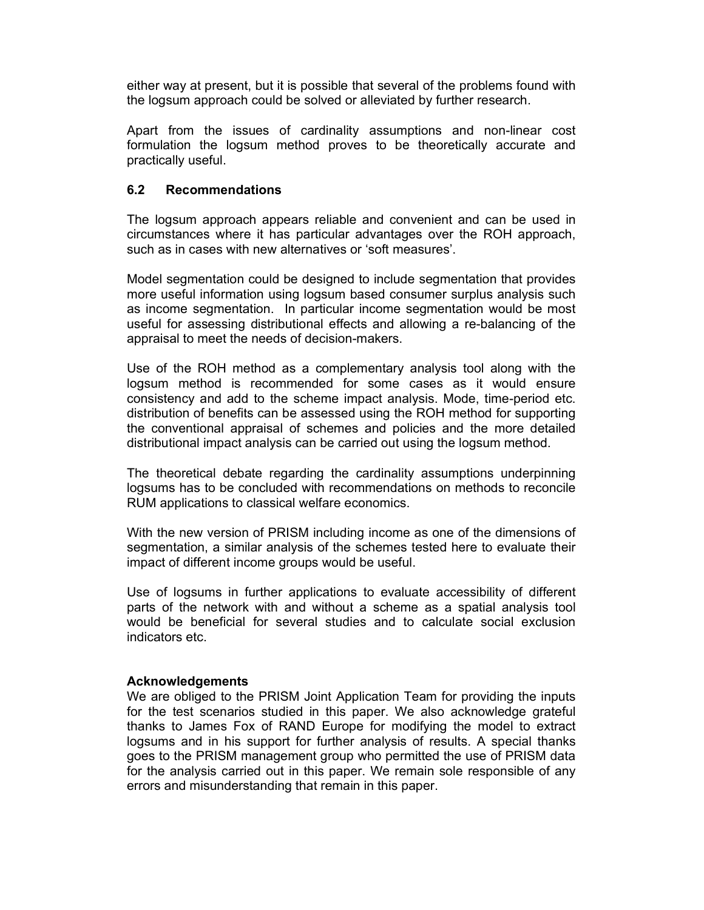either way at present, but it is possible that several of the problems found with the logsum approach could be solved or alleviated by further research.

Apart from the issues of cardinality assumptions and non-linear cost formulation the logsum method proves to be theoretically accurate and practically useful.

### 6.2 Recommendations

The logsum approach appears reliable and convenient and can be used in circumstances where it has particular advantages over the ROH approach, such as in cases with new alternatives or 'soft measures'.

Model segmentation could be designed to include segmentation that provides more useful information using logsum based consumer surplus analysis such as income segmentation. In particular income segmentation would be most useful for assessing distributional effects and allowing a re-balancing of the appraisal to meet the needs of decision-makers.

Use of the ROH method as a complementary analysis tool along with the logsum method is recommended for some cases as it would ensure consistency and add to the scheme impact analysis. Mode, time-period etc. distribution of benefits can be assessed using the ROH method for supporting the conventional appraisal of schemes and policies and the more detailed distributional impact analysis can be carried out using the logsum method.

The theoretical debate regarding the cardinality assumptions underpinning logsums has to be concluded with recommendations on methods to reconcile RUM applications to classical welfare economics.

With the new version of PRISM including income as one of the dimensions of segmentation, a similar analysis of the schemes tested here to evaluate their impact of different income groups would be useful.

Use of logsums in further applications to evaluate accessibility of different parts of the network with and without a scheme as a spatial analysis tool would be beneficial for several studies and to calculate social exclusion indicators etc.

#### Acknowledgements

We are obliged to the PRISM Joint Application Team for providing the inputs for the test scenarios studied in this paper. We also acknowledge grateful thanks to James Fox of RAND Europe for modifying the model to extract logsums and in his support for further analysis of results. A special thanks goes to the PRISM management group who permitted the use of PRISM data for the analysis carried out in this paper. We remain sole responsible of any errors and misunderstanding that remain in this paper.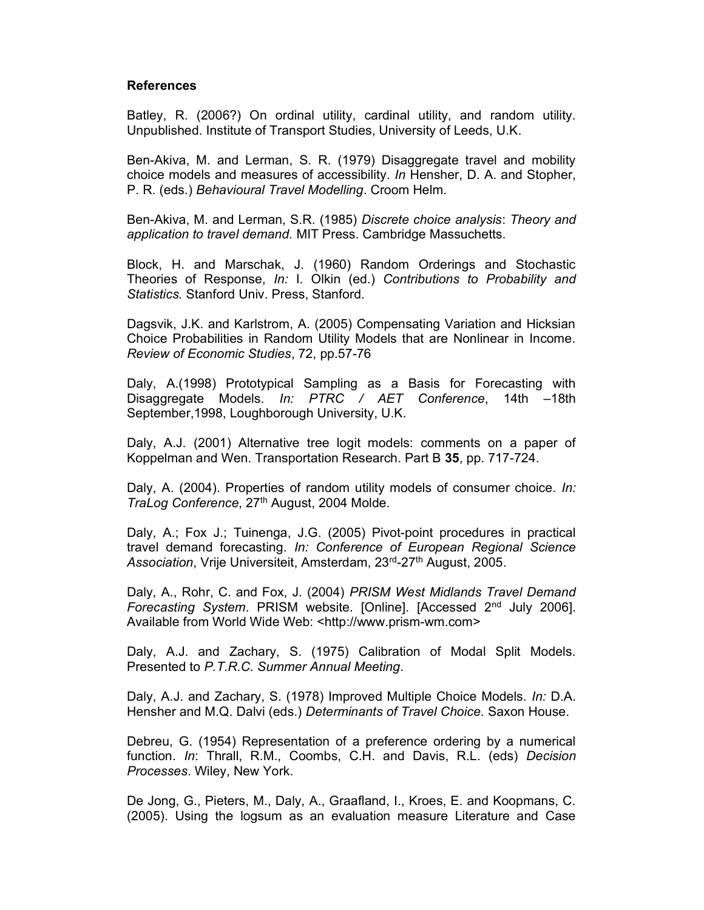#### References

Batley, R. (2006?) On ordinal utility, cardinal utility, and random utility. Unpublished. Institute of Transport Studies, University of Leeds, U.K.

Ben-Akiva, M. and Lerman, S. R. (1979) Disaggregate travel and mobility choice models and measures of accessibility. In Hensher, D. A. and Stopher, P. R. (eds.) Behavioural Travel Modelling. Croom Helm.

Ben-Akiva, M. and Lerman, S.R. (1985) Discrete choice analysis: Theory and application to travel demand. MIT Press. Cambridge Massuchetts.

Block, H. and Marschak, J. (1960) Random Orderings and Stochastic Theories of Response, In: I. Olkin (ed.) Contributions to Probability and Statistics. Stanford Univ. Press, Stanford.

Dagsvik, J.K. and Karlstrom, A. (2005) Compensating Variation and Hicksian Choice Probabilities in Random Utility Models that are Nonlinear in Income. Review of Economic Studies, 72, pp.57-76

Daly, A.(1998) Prototypical Sampling as a Basis for Forecasting with Disaggregate Models. In: PTRC / AET Conference, 14th -18th September,1998, Loughborough University, U.K.

Daly, A.J. (2001) Alternative tree logit models: comments on a paper of Koppelman and Wen. Transportation Research. Part B 35, pp. 717-724.

Daly, A. (2004). Properties of random utility models of consumer choice. In: TraLog Conference, 27<sup>th</sup> August, 2004 Molde.

Daly, A.; Fox J.; Tuinenga, J.G. (2005) Pivot-point procedures in practical travel demand forecasting. In: Conference of European Regional Science Association, Vrije Universiteit, Amsterdam, 23<sup>rd</sup>-27<sup>th</sup> August, 2005.

Daly, A., Rohr, C. and Fox, J. (2004) PRISM West Midlands Travel Demand Forecasting System. PRISM website. [Online]. [Accessed  $2<sup>nd</sup>$  July 2006]. Available from World Wide Web: <http://www.prism-wm.com>

Daly, A.J. and Zachary, S. (1975) Calibration of Modal Split Models. Presented to P.T.R.C. Summer Annual Meeting.

Daly, A.J. and Zachary, S. (1978) Improved Multiple Choice Models. In: D.A. Hensher and M.Q. Dalvi (eds.) Determinants of Travel Choice. Saxon House.

Debreu, G. (1954) Representation of a preference ordering by a numerical function. In: Thrall, R.M., Coombs, C.H. and Davis, R.L. (eds) Decision Processes. Wiley, New York.

De Jong, G., Pieters, M., Daly, A., Graafland, I., Kroes, E. and Koopmans, C. (2005). Using the logsum as an evaluation measure Literature and Case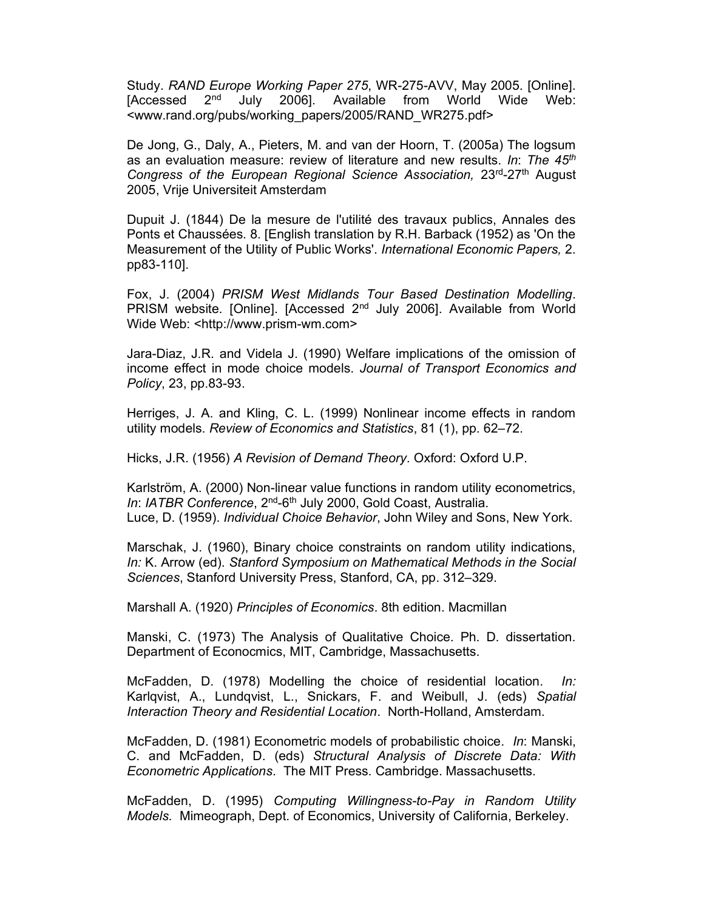Study. RAND Europe Working Paper 275, WR-275-AVV, May 2005. [Online]. [Accessed 2<sup>nd</sup> July 2006]. Available from World Wide Web: <www.rand.org/pubs/working\_papers/2005/RAND\_WR275.pdf>

De Jong, G., Daly, A., Pieters, M. and van der Hoorn, T. (2005a) The logsum as an evaluation measure: review of literature and new results. In: The  $45<sup>th</sup>$ Congress of the European Regional Science Association,  $23<sup>rd</sup>-27<sup>th</sup>$  August 2005, Vrije Universiteit Amsterdam

Dupuit J. (1844) De la mesure de l'utilité des travaux publics, Annales des Ponts et Chaussées. 8. [English translation by R.H. Barback (1952) as 'On the Measurement of the Utility of Public Works'. International Economic Papers, 2. pp83-110].

Fox, J. (2004) PRISM West Midlands Tour Based Destination Modelling. PRISM website. [Online]. [Accessed 2<sup>nd</sup> July 2006]. Available from World Wide Web: <http://www.prism-wm.com>

Jara-Diaz, J.R. and Videla J. (1990) Welfare implications of the omission of income effect in mode choice models. Journal of Transport Economics and Policy, 23, pp.83-93.

Herriges, J. A. and Kling, C. L. (1999) Nonlinear income effects in random utility models. Review of Economics and Statistics, 81 (1), pp. 62–72.

Hicks, J.R. (1956) A Revision of Demand Theory. Oxford: Oxford U.P.

Karlström, A. (2000) Non-linear value functions in random utility econometrics, In: IATBR Conference, 2<sup>nd</sup>-6<sup>th</sup> July 2000, Gold Coast, Australia. Luce, D. (1959). Individual Choice Behavior, John Wiley and Sons, New York.

Marschak, J. (1960), Binary choice constraints on random utility indications, In: K. Arrow (ed). Stanford Symposium on Mathematical Methods in the Social Sciences, Stanford University Press, Stanford, CA, pp. 312–329.

Marshall A. (1920) Principles of Economics. 8th edition. Macmillan

Manski, C. (1973) The Analysis of Qualitative Choice. Ph. D. dissertation. Department of Econocmics, MIT, Cambridge, Massachusetts.

McFadden, D. (1978) Modelling the choice of residential location. In: Karlqvist, A., Lundqvist, L., Snickars, F. and Weibull, J. (eds) Spatial Interaction Theory and Residential Location. North-Holland, Amsterdam.

McFadden, D. (1981) Econometric models of probabilistic choice. In: Manski, C. and McFadden, D. (eds) Structural Analysis of Discrete Data: With Econometric Applications. The MIT Press. Cambridge. Massachusetts.

McFadden, D. (1995) Computing Willingness-to-Pay in Random Utility Models. Mimeograph, Dept. of Economics, University of California, Berkeley.